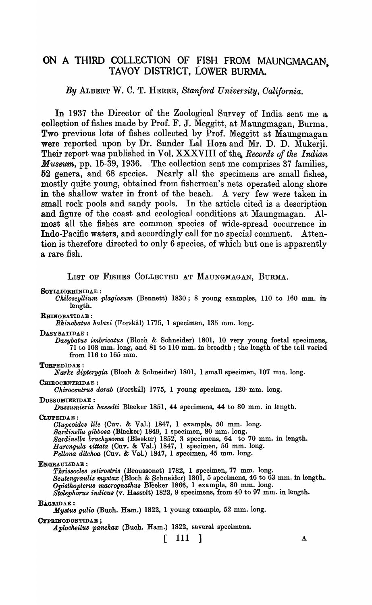# ON A THIRD COLLECTION OF FISH FROM MAUNGMAGAN, TAVOY DISTRICT, LOWER BURMA.

*By* ALBERT W. C. T. HERRE, *Stanford University, Oalifornia.* 

In 1937 the Director of the Zoological Survey of India sent me a collection of fishes made by Prof. F. J. Meggitt, at Maungmagan, Burma. Two previous lots of fishes collected by Prof. Meggitt at Maungmagan were reported upon by Dr. Sunder Lal Hora and Mr. D. D. Mukerji. Their report was published in Vol. XXXVIII of the. *Records of the Indian Museum*, pp. 15-39, 1936. The collection sent me comprises 37 families. 52 genera, and 68 species. Nearly all the specimens are small fishes, mostly quite young, obtained from fishermen's nets operated along shore in the shallow water in front of the beach. A very few were taken in small rock pools and sandy pools. In the article cited is a description and figure of the coast and ecological conditions at Maungmagan. Almost all the fishes are common species of wide-spread occurrence in Indo-Pacific waters, and accordingly call for no special comment. Attention is therefore directed to only 6 species, of which but one is apparently a rare fish.

LIST OF FISHES COLLECTED AT MAUNGMAGAN, BURMA.

SOYLLIORHINIDAE :

*Ohiloscyllium plagiosum* (Bennett) 1830; 8 young examples, 110 to 160 mm. in length.

RHINOBATIDAE :

*Rhinobatus halavi* (Forskål) 1775, 1 specimen, 135 mm. long.

DASYBATIDAE:

*Dasybatus imbricatus* (Bloch & Schneider) 1801, 10 very young foetal specimens,. 71 to 108 mm. long, and 81 to 110 mm. in breadth; the length of the tail varied from 116 to 165 mm.

TOBFEDIDAE :

*Narke dipterygia* (Bloch & Schneider) 1801, 1 small specimen, 107 mm. long.

CHIROCENTRIDAE :

*Ohirocentrus dorab* (Forskil) 1775, 1 young specimen, 120· mm. long.

DUSSUMIERIDAE :

*Dussumieria hasselti* Bleeker 1851, 44 specimens, 44 to 80 mm. in length.

CLUPEIDAE:

*Olupeoides lile* (Cuv. & Val.) 1847, 1 example, 50 mm. long. *Sardinella gibbosa* (Bleeker) 1849, 1 specimen, 80 mm. long. Sardinella brachysoma (Bleeker) 1852, 3 specimens, 64 to 70 mm. in length. *Harengula vittata* (Cuv. & Val.) 1847, 1 specimen, 56 mm. long. *Pellona ditchoa* (Cuv. & Val.) 1847, 1 specimen, 45 mm. long.

ENGRAULIDAE :

*Tkrissocles setirostris* (Broussonet) 1782, 1 specimen, 77 mm. long. *Scutengraulis mystax* (Bloch & Schneider) 1801, 5 specimens, 46 to 63 mm. in length. *Opisthopterus macrognathus Bleeker 1866, 1 example, 80 mm. long. Stolephorus indicus* (v. Hasselt) 1823, 9 specimens, from 40 to 97 mm. in length.

#### BAGRIDAE:

*Mystus gulio* (Buch. Ham.) 1822, 1 young example, 52 mm. long.

(}YPRINODONTIDAE ;

Aplocheilus panchax (Buch. Ham.) 1822, several specimens.

 $[111]$  A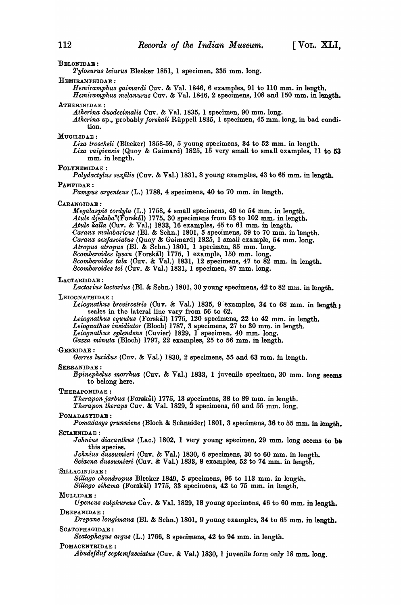#### BELONIDAE :

*Tylosu'I"Us leiurus* Bleeker 1851, 1 specimen, 335 mm. long.

#### HEMIRAMPHIDAE :

*Hemiramphu8 gaimardi* Cuv. & Val. 1846, 6 examples, 91 to 110 mm. in length. *Hemiramphus melanurus* Cuv. & Val. 1846, 2 specimens, 108 and 150 mm. in length.

#### ATHERINIDAE:

*Atherina duodecimalis* Cuv. & Val. 1835, 1 specimen, 90 mm. long.

Atherina sp., probably *forskali* Rüppell 1835, 1 specimen, 45 mm. long, in bad condition.

#### MUGILIDAE:

Liza troscheli (Bleeker) 1858-59, 5 young specimens, 34 to 52 mm. in length.

*Liza vaigiensis* (Quoy & Gaimard) 1825, 15 very small to small examples, 11 to 53 mm. in length.

#### POLYNEMIDAE :

*Polydactylus sexfilis* (Cnv. & Val.) 1831, 8 yonng examples, 43 to 65 mm. in length.

#### PAMPIDAE:

*Pampus argenteus* (L.) 1788, 4 specimens, 40 to 70 mm. in length.

#### ,CARANGIDAE :

M *egalaspis cordyla* (L.) 1758, 4 small specimens, 49 to 54 mm. in length. *Atule* djedaba"(Forskal) 1775, 30 specimens from 53 to 102 mm. in length. *Atule* kaUa (Cnv. & Val.) 1833, 16 examples, 45 to 61 mm. in length . *.()aranx malabaricus* (Bl. & Schn.) 1801, 5 specimens, 59 to 70 mm. in 1ength. *Oaranx sexjasciatus* (Quoy & Gaimard) 1825, 1 small example, 54 mm. long. *Atropus atropus* (Bl. & Schn.) 1801, 1 specimen, 85 mm. long. *Scomberoides lysan* (Forskal) 1775, 1 example, 150 mm. long. *Scomberoides tala* (Cuv. & Val.) 1831, 12 specimens, 47 to 82 mm. in length. *Scomberoides tol* (Cuv. & Val.) 1831, 1 specimen, 87 mm. long.

#### LAOTARIIDAE :

Lactarius lactarius (Bl. & Schn.) 1801, 30 young specimens, 42 to 82 mm. in length.

# LEIOGNATHIDAE:

Leiognathus brevirostris (Cuv. & Val.) 1835, 9 examples, 34 to 68 mm. in length: seales in the lateral line vary from 56 to 62. *Leiognath'lt8 equulus* (ForsksJ) 1775, 120 specimens, 22 to 42 mm. in length.

Leiognathus insidiator (Bloch) 1787, 3 specimens, 27 to 30 mm. in length.

*Leiognatkus splendens* (Cuvier) 1829, 1 specimen, 40 mm. long.

Gazza minuta (Bloch) 1797, 22 examples, 25 to 56 mm. in length.

# GERRIDAE:

*Gerres lucidus* (Cuv. & Val.) 1830, 2 specimens, 55 and 63 mm. in length.

#### SERRANIDAE :

*Epinepkelus morrkua* (Cuv. & Val.) 1833, 1 juvenile specimen,30 mm. long seems to belong here.

#### -THERAPONIDAE:

*Therapon jarbua* (Forskal) 1775, 13 specimens, 38 to 89 mm. in length.

*Therapon tkeraps* Cuv. & Val. 1829, 2 specimens, 50 and 55 mm. long.

#### POMADASYIDAE :

*Pomadasys grunniens* (Bloch & Schneider) 1801, 3 specimens, 36 to 55 mm. in length.

# ,SOIAENIDAE :

*Johnius diacanthus* (Lac.) 1802, 1 very young specimen, 29 mm. long seems to be this species.

*Johniu8 dussumieri* (Cuv. & Val.) 1830, 6 specimens, 30 to 60 mm. in length.

*Sciaena dussumieri* (Cnv. & Val.) 1833, 8 examples, 52 to 74 mm. in length.

#### SILLAGINIDAE :

*Sillago ckondropus* Bleeker 1849, 5 speoimens, 96 to 113 mm. in length.

*Sillayo sihama* (Forskal) 1775, 33 specimens, 42 to 75 mm. in length.

#### MULLIDAE:

*Upeneus sulphureus* Cuv. & Val. 1829, 18 young specimens, 46 to 60 mm. in length. DREPANIDAE :

*Drepane longimana* (BI. & Schn.) 1801, 9 young examples, 34 to 65 mm. in length. SCATOPHAGIDAE :

*Scatophagus argus* (L.) 1766, 8 specimens, 42 to 94 mm. in length.

#### POMAOENTRIDAE :

Abudefduf septemfasciatus (Cuv. & Val.) 1830, 1 juvenile form only 18 mm. long.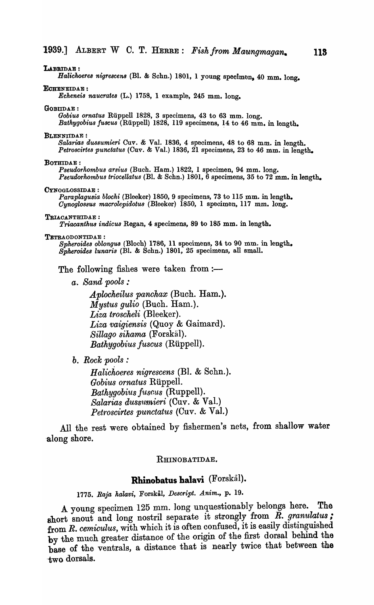LABRIDAE: *Halickoeres nigrescens* (BI. & Schn.) 1801, 1 young specimen, 40 mm. long. ECHENEIDAE : *Echeneis naucrates* (L.) 1758, 1 example, 245 mm. long. GOBIIDAE: Gobius ornatus Rüppell 1828, 3 specimens, 43 to 63 mm. long. *Bathygobius fuscus* (Rüppell) 1828, 119 specimens, 14 to 46 mm. in length. BLENNIIDAE: Salarias dussumieri Cuv. & Val. 1836, 4 specimens, 48 to 68 mm. in length. Petroscirtes punctatus (Cuv. & Val.) 1836, 21 specimens, 23 to 46 mm. in length. BOTHIDAE: *Pseudorhombus arsius* (Buch. Ham.) 1822, 1 specimen, 94 mm. long. *Pseudorkombus triocellatus* (Bl. & Schn.) 1801, 6 specimens, 35 to 72 mm. in length. CYNOGLOSSIDAE : *Paraplagusia blocki* (Bleeker) 1850, 9 specimens, 73 to 115 mm. in length. *Oynogl08SU8 macrolepidotus* (Bleeker) 1850, 1 specimen, 117 mm. long. TRIACANTHIDAE: *Triacantkus indicus* Regan, 4 specimens, 89 to 185 mm. in length. TETRAODONTIDAE : *Bpkeroides oblongus* (Bloch) 1786, 11 specimens, 34 to 90 mm. in length. *Spkeroides lunaris* (BI. & Schn.) 1801, 25 specimens, all small. The following fishes were taken from  $:$ *a. Sand pools:*  A *plocheilus panchax* (Buch. Ham.).

*Mystus gulio* (Buch. Ham.). *Liza troscheli* (Bleeker). *Liza vaigiensis* (Quoy & Gaimard).  $Sillago\;sihama$  (Forskal). *Bathygobius fuscus* (Riippell).

*b. Rock pools :* 

*H alichoeres nigrescens* (BI. & Schn.). *Gobius ornatus* Riippell. *Bathygobius juscus* (Ruppell). *Salarias dussttmieri* (Cuv. & Val.) *Petroscirtes punctatus* (Cuv. & Val.)

All the rest were obtained by fishermen's nets, from shallow water along shore.

# RHINOBATIDAE.

# **Rhinobatus halavi** (Forskal).

*1775. Raja halavi,* Forskal, *Descript. Anim.,* p. 19.

A young specimen 125 mm. long unquestionably belongs here. The short snout and long nostril separate it strongly from  $\tilde{R}$ . granulatus; from *R. cemiculus*, with which it is often confused, it is easily distinguished by the much greater distance of the origin of the first dorsal behind the base of the ventrals, a distance that is nearly twice that between the -two dorsals.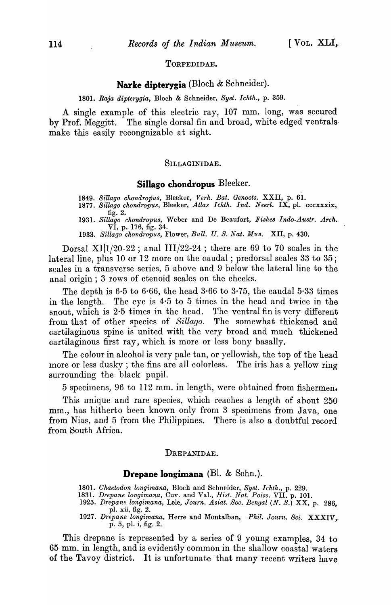# TORPEDIDAE.

# **Narke dipterygia** (Bloch & Schneider).

*1801. Raja dipterygia,* Bloch & Schneider, *Syst. Ichth.,* p. 359.

A single example of this electric ray, 107 mm. long, was secured by Prof. Meggitt. The single dorsal fin and broad, white edged ventrals· make this easily recongnizable at sight.

# SILLAGINIDAE.

### **Sillago chondropus** Bleeker.

*1849. Sillago chondropus,* Bleeker, *Verh. Bat. Genoots.* XXTI, p. 61. *1877. Sillago chondropus,* Bleeker, *Atlas Ichth. Ind. Neerl.* IX, pI. cccxxxix,.

fig. 2. *1931. Sillago chondropus,* Weber and De Beaufort, *Fishes Indo-Austr. Arch •.*  VI, p. 176, fig. 34.

1933. Sillago chondropus, Flower, Bull. U. S. Nat. Mus. XII, p. 430.

Dorsal XI| $1/20-22$ ; anal III/22-24; there are 69 to 70 scales in the lateral line, plus 10 or 12 more on the caudal; predorsal scales 33 to 35; scales in a transverse series, 5 above and 9 below the lateral line to the anal origin; 3 rows of ctenoid scales on the cheeks.

The depth is 6.5 to 6.66, the head  $3.66$  to  $3.75$ , the caudal  $5.33$  times in the length. The eye is 4·5 to 5 times in the head and twice in the snout, which is  $2.5$  times in the head. The ventral fin is very different from that of other species of *Sillago.* The somewhat thickened and cartilaginous spine is united with the very broad and much thickened cartilaginous first ray, which is more or less bony basally.

The colour in alcohol is very pale tan, or yellowish, the top of the head more or less dusky; the fins are all colorless. The iris has a yellow ring surrounding the black pupil.

5 specilnens, 96 to 112 mm. in length, were obtained from fishermen.

This unique and rare species, which reaches a length of about 250 mm., has hitherto been known only from 3 specimens from Java, one from Nias, and 5 from the Philippines. There is also a doubtful record from South Africa.

# DREPANIDAE.

# **Drepane Iongimana** (Bl. & Schn.).

1801. Chaetodon longimana, Bloch and Schneider, Syst. Ichth., p. 229.

- 1831. *Drepane I01lgimana,* Cuv. and Val., *Hisf. Nat. Poiss.* VII, p. 101.
- *1925. Drepane longimana,* Lele, *Journ. Asiat. Soc. Bengal (N. S.)* XX, p. 286, pI. xii, fig. 2.
- *1927. l)repane longimana,* Herre and l\Iontalban, *Phil. Journ. Sci.* XXXIV,.. p. 5, pI. i, fig. 2.

This drepane is represented by a series of 9 young examples, 34 to 65 mm. in length, and is evidently common in the shallow coastal waters of the Tavoy district. It is unfortunate that many recent writers have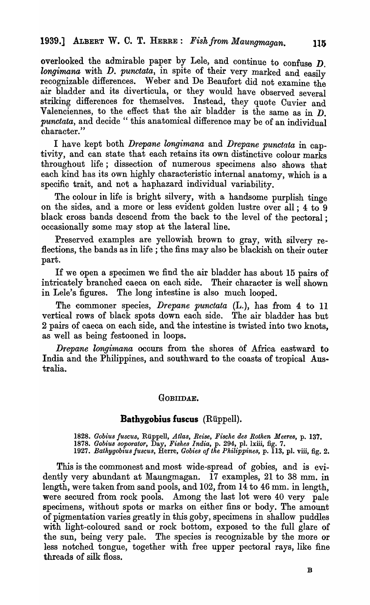overlooked the admirable paper by Lele, and continue to confuse D. *longimana* with *D. punctata*, in spite of their very marked and easily recognizable differences. Weber and De Beaufort did not examine the air bladder and its diverticula, or they would have observed several striking differences for themselves. Instead, they quote Cuvier and Valenciennes, to the effect that the air bladder is the same as in  $\overline{D}$ . *punctata*, and decide "this anatomical difference may be of an individual character."

I have kept both *Drepane longimana* and *Drepane punctata* in captivity, and can state that each retains its own distinctive colour marks throughout life; dissection of numerous specimens also shows that each kind has its own highly characteristic internal anatomy, which is a specific trait, and not a haphazard individual variability.

The colour in life is bright silvery, with a handsome purplish tinge on the sides, and a more or less evident golden lustre over all; 4 to 9 black cross bands descend from the back to the level of the pectoral; occasionally some may stop at the lateral line.

Preserved examples are yellowish brown to gray, with silvery reflections, the bands as in life; the fins may also be blackish on their outer part.

If we open a specimen we find the air bladder has about 15 pairs of intricately branched caeca on each side. Their character is well shown in Lele's figures. The long intestine is also much looped.

The commoner species, *Drepane punctata* (L.), has from 4 to 11 vertical rows of black spots down each side. The air bladder has but 2 pairs of caeca on each side, and the intestine is twisted into two knots, as well as being festooned in loops.

*Drepane longimana* occurs from the shores of Africa eastward to India and the Philippines, and southward to the coasts of tropical Australia.

# GOBIIDAE.

# Bathygobius fuscus (Riippell).

*1828. Gobius !U8CU8,* Riippell, *Atla8, Rei8e, Fische de8 Rothen M eeres,* p. 137. *1878. Gobius 80pO'l'ator,* Day, *Fi8hes India,* p. 294, pI. lxiii, fig. 7. *1927. Bathygobius !U8CU8,* Herre, *Gobies of the Philippines,* p. 113, pl. viii, fig. 2.

This is the commonest and most wide-spread of gobies, and is evidently very abundant at Maungmagan. 17 examples, 21 to 38 mm. in length, were taken from sand pools, and 102, from 14 to 46 mm. in length, were secured from rock pools. Among the last lot were 40 very pale specimens, without spots or marks on either fins or body. The amount of pigmentation varies greatly in this goby, specimens in shallow puddles with light-coloured sand or rock bottom, exposed to the full glare of the sun, being very pale. The species is recognizable by the more or less notched tongue, together with free upper pectoral rays, like fine threads of silk floss.